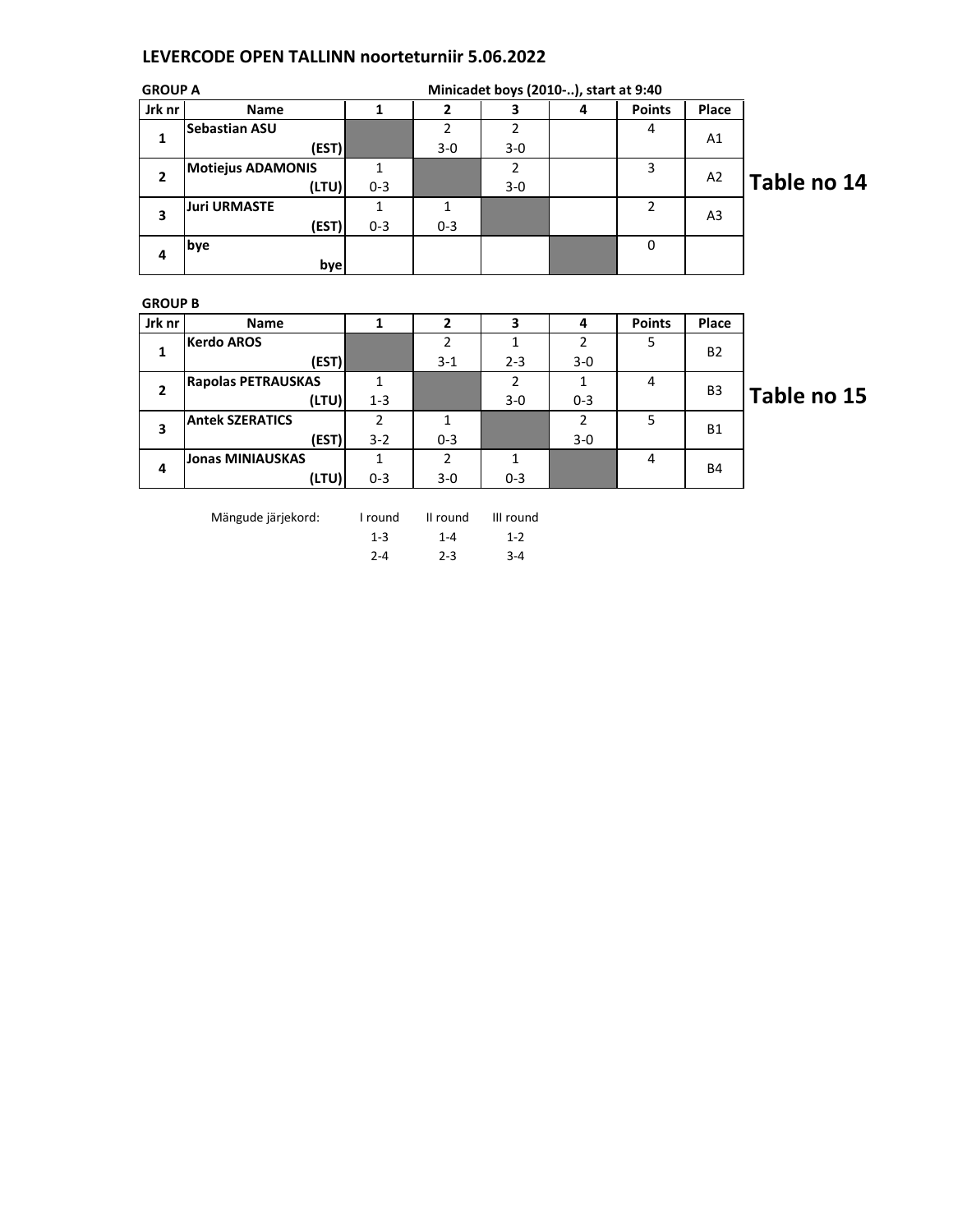## LEVERCODE OPEN TALLINN noorteturniir 5.06.2022

| <b>GROUP A</b> |                          |         |         |       | Minicadet boys (2010-), start at 9:40 |               |                |             |
|----------------|--------------------------|---------|---------|-------|---------------------------------------|---------------|----------------|-------------|
| Jrk nr         | Name                     |         |         |       | 4                                     | <b>Points</b> | Place          |             |
| 1              | <b>Sebastian ASU</b>     |         |         |       |                                       | 4             | A1             |             |
|                | (EST)                    |         | $3-0$   | $3-0$ |                                       |               |                |             |
| 2              | <b>Motiejus ADAMONIS</b> |         |         |       |                                       | 3             | A2             | Table no 14 |
|                | (LTU)                    | $0 - 3$ |         | $3-0$ |                                       |               |                |             |
| 3              | <b>Juri URMASTE</b>      |         |         |       |                                       |               | A <sub>3</sub> |             |
|                | (EST)                    | $0 - 3$ | $0 - 3$ |       |                                       |               |                |             |
| 4              | bye                      |         |         |       |                                       | 0             |                |             |
|                | bye                      |         |         |       |                                       |               |                |             |

## GROUP B

| Jrk nr       | <b>Name</b>               |         |         |         | 4       | <b>Points</b> | Place          |     |
|--------------|---------------------------|---------|---------|---------|---------|---------------|----------------|-----|
| 1            | <b>Kerdo AROS</b>         |         |         |         | 2       | 5             | <b>B2</b>      |     |
|              | (EST)                     |         | $3 - 1$ | $2 - 3$ | $3-0$   |               |                |     |
| $\mathbf{2}$ | <b>Rapolas PETRAUSKAS</b> |         |         | 2       |         | 4             | B <sub>3</sub> | l a |
|              | (LTU)                     | $1 - 3$ |         | $3 - 0$ | $0 - 3$ |               |                |     |
| 3            | <b>Antek SZERATICS</b>    | 2       |         |         | າ       |               | <b>B1</b>      |     |
|              | (EST)                     | $3 - 2$ | $0 - 3$ |         | $3 - 0$ |               |                |     |
| 4            | <b>Jonas MINIAUSKAS</b>   |         | າ       |         |         | 4             | <b>B4</b>      |     |
|              | (LTU)                     | $0 - 3$ | $3 - 0$ | $0 - 3$ |         |               |                |     |

Mängude järjekord: I round II round III round

1-3 1-4 1-2 2-4 2-3 3-4 ble no 15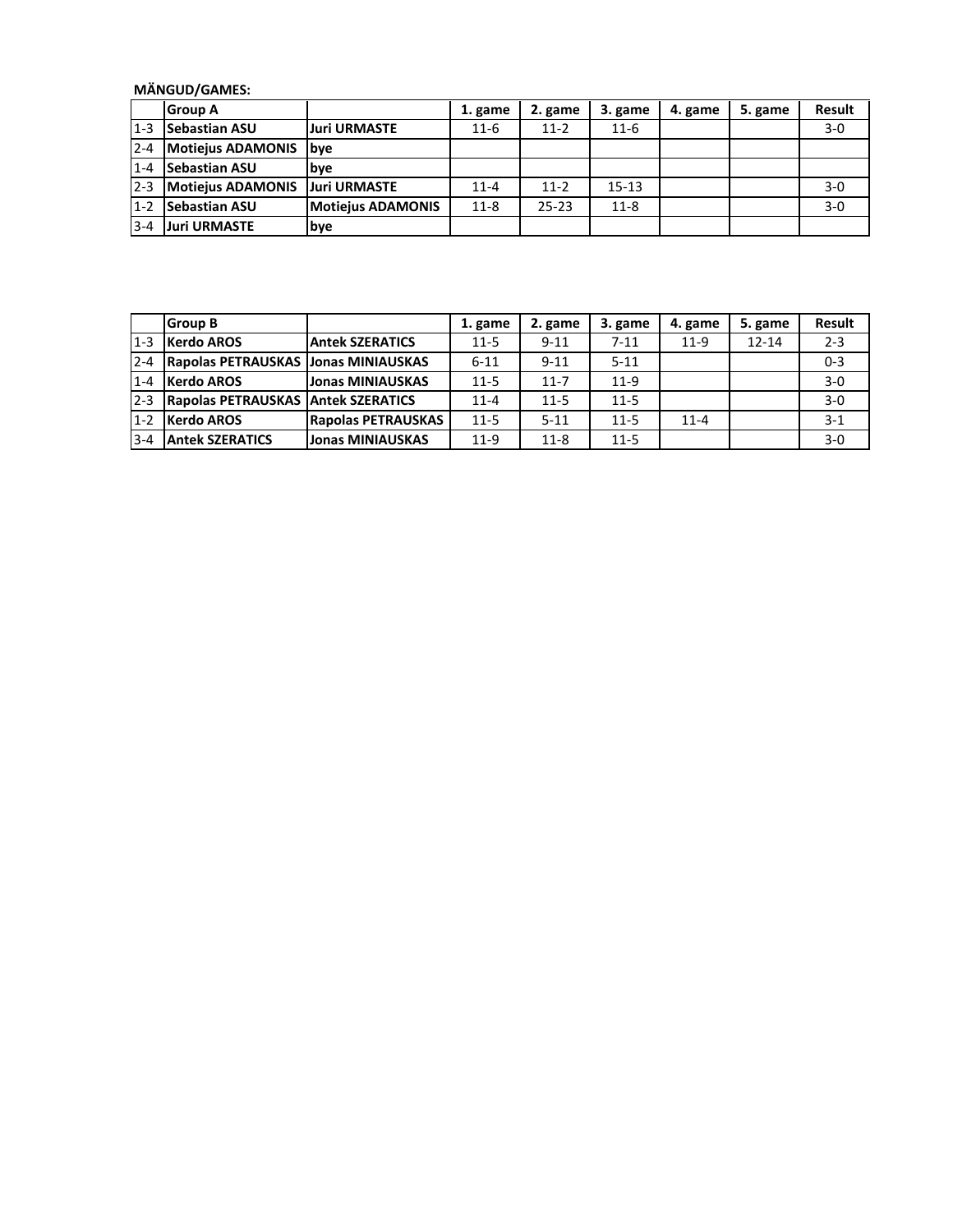## MÄNGUD/GAMES:

|         | l Group A                |                          | 1. game  | 2. game   | 3. game   | 4. game | 5. game | <b>Result</b> |
|---------|--------------------------|--------------------------|----------|-----------|-----------|---------|---------|---------------|
| $1 - 3$ | <b>Sebastian ASU</b>     | <b>Juri URMASTE</b>      | $11 - 6$ | $11-2$    | $11-6$    |         |         | $3-0$         |
| $2 - 4$ | <b>Motiejus ADAMONIS</b> | <b>Ibve</b>              |          |           |           |         |         |               |
| $1 - 4$ | <b>Sebastian ASU</b>     | lbve                     |          |           |           |         |         |               |
| $2 - 3$ | <b>Motiejus ADAMONIS</b> | <b>Juri URMASTE</b>      | $11 - 4$ | $11-2$    | $15 - 13$ |         |         | $3-0$         |
| $1 - 2$ | <b>Sebastian ASU</b>     | <b>Motiejus ADAMONIS</b> | $11 - 8$ | $25 - 23$ | $11-8$    |         |         | $3-0$         |
| $3 - 4$ | <b>Juri URMASTE</b>      | <b>bye</b>               |          |           |           |         |         |               |

|         | <b>Group B</b>                              |                           | 1. game  | 2. game  | 3. game  | 4. game  | 5. game   | <b>Result</b> |
|---------|---------------------------------------------|---------------------------|----------|----------|----------|----------|-----------|---------------|
| $1 - 3$ | <b>Kerdo AROS</b>                           | <b>Antek SZERATICS</b>    | $11 - 5$ | $9 - 11$ | $7 - 11$ | $11-9$   | $12 - 14$ | $2 - 3$       |
| $2 - 4$ | <b>Rapolas PETRAUSKAS JJonas MINIAUSKAS</b> |                           | $6 - 11$ | $9 - 11$ | $5 - 11$ |          |           | $0 - 3$       |
| $1 - 4$ | <b>Kerdo AROS</b>                           | <b>Jonas MINIAUSKAS</b>   | $11 - 5$ | $11 - 7$ | $11-9$   |          |           | $3-0$         |
| $2 - 3$ | <b>Rapolas PETRAUSKAS Antek SZERATICS</b>   |                           | $11 - 4$ | $11 - 5$ | $11 - 5$ |          |           | $3-0$         |
| $1 - 2$ | <b>Kerdo AROS</b>                           | <b>Rapolas PETRAUSKAS</b> | $11 - 5$ | $5 - 11$ | $11 - 5$ | $11 - 4$ |           | $3 - 1$       |
| $3 - 4$ | <b>Antek SZERATICS</b>                      | Jonas MINIAUSKAS          | $11-9$   | $11 - 8$ | $11 - 5$ |          |           | $3-0$         |